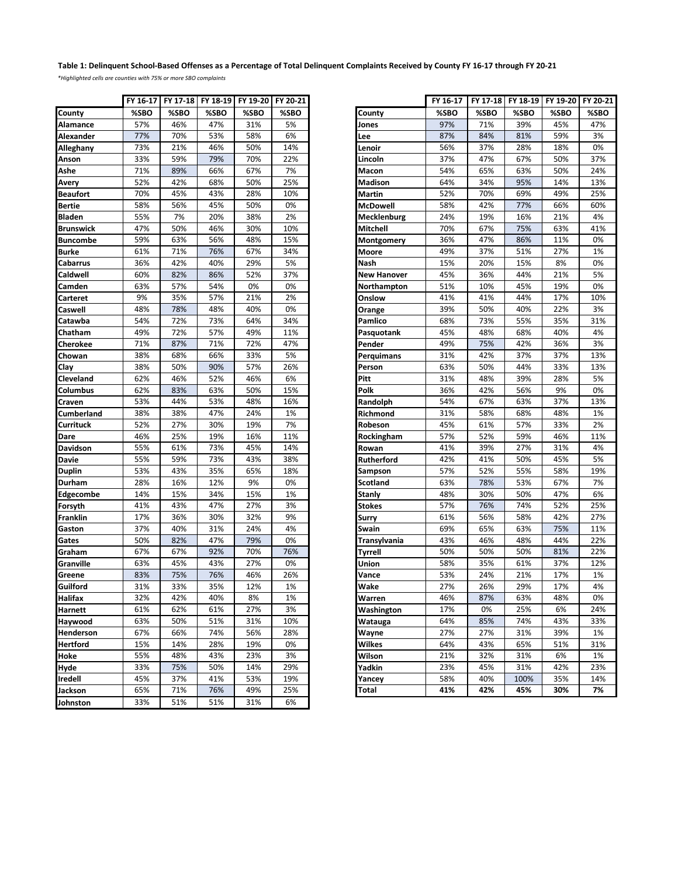## **Table 1: Delinquent School-Based Offenses as a Percentage of Total Delinquent Complaints Received by County FY 16-17 through FY 20-21**

*\*Highlighted cells are counties with 75% or more SBO complaints*

|                   | FY 16-17 |      | FY 17-18 FY 18-19 | FY 19-20 | FY 20-21 |                     | FY 16-17 | FY 17-18 | FY 18-19 | FY 19-20 | <b>FY 20</b> |
|-------------------|----------|------|-------------------|----------|----------|---------------------|----------|----------|----------|----------|--------------|
| County            | %SBO     | %SBO | %SBO              | %SBO     | %SBO     | County              | %SBO     | %SBO     | %SBO     | %SBO     | %SB          |
| Alamance          | 57%      | 46%  | 47%               | 31%      | 5%       | Jones               | 97%      | 71%      | 39%      | 45%      | 47%          |
| <b>Alexander</b>  | 77%      | 70%  | 53%               | 58%      | 6%       | Lee                 | 87%      | 84%      | 81%      | 59%      | 3%           |
| Alleghany         | 73%      | 21%  | 46%               | 50%      | 14%      | Lenoir              | 56%      | 37%      | 28%      | 18%      | 0%           |
| Anson             | 33%      | 59%  | 79%               | 70%      | 22%      | Lincoln             | 37%      | 47%      | 67%      | 50%      | 379          |
| Ashe              | 71%      | 89%  | 66%               | 67%      | 7%       | Macon               | 54%      | 65%      | 63%      | 50%      | 24%          |
| Avery             | 52%      | 42%  | 68%               | 50%      | 25%      | Madison             | 64%      | 34%      | 95%      | 14%      | 13%          |
| <b>Beaufort</b>   | 70%      | 45%  | 43%               | 28%      | 10%      | Martin              | 52%      | 70%      | 69%      | 49%      | 25%          |
| <b>Bertie</b>     | 58%      | 56%  | 45%               | 50%      | 0%       | McDowell            | 58%      | 42%      | 77%      | 66%      | 60%          |
| <b>Bladen</b>     | 55%      | 7%   | 20%               | 38%      | 2%       | Mecklenburg         | 24%      | 19%      | 16%      | 21%      | 4%           |
| <b>Brunswick</b>  | 47%      | 50%  | 46%               | 30%      | 10%      | Mitchell            | 70%      | 67%      | 75%      | 63%      | 41%          |
| <b>Buncombe</b>   | 59%      | 63%  | 56%               | 48%      | 15%      | Montgomery          | 36%      | 47%      | 86%      | 11%      | 0%           |
| <b>Burke</b>      | 61%      | 71%  | 76%               | 67%      | 34%      | Moore               | 49%      | 37%      | 51%      | 27%      | 1%           |
| Cabarrus          | 36%      | 42%  | 40%               | 29%      | 5%       | Nash                | 15%      | 20%      | 15%      | 8%       | 0%           |
| Caldwell          | 60%      | 82%  | 86%               | 52%      | 37%      | <b>New Hanover</b>  | 45%      | 36%      | 44%      | 21%      | 5%           |
| Camden            | 63%      | 57%  | 54%               | 0%       | 0%       | Northampton         | 51%      | 10%      | 45%      | 19%      | 0%           |
| Carteret          | 9%       | 35%  | 57%               | 21%      | 2%       | Onslow              | 41%      | 41%      | 44%      | 17%      | 10%          |
| Caswell           | 48%      | 78%  | 48%               | 40%      | 0%       | Orange              | 39%      | 50%      | 40%      | 22%      | 3%           |
| Catawba           | 54%      | 72%  | 73%               | 64%      | 34%      | Pamlico             | 68%      | 73%      | 55%      | 35%      | 319          |
| Chatham           | 49%      | 72%  | 57%               | 49%      | 11%      | Pasquotank          | 45%      | 48%      | 68%      | 40%      | 4%           |
| Cherokee          | 71%      | 87%  | 71%               | 72%      | 47%      | Pender              | 49%      | 75%      | 42%      | 36%      | 3%           |
| Chowan            | 38%      | 68%  | 66%               | 33%      | 5%       | Perquimans          | 31%      | 42%      | 37%      | 37%      | 139          |
| Clay              | 38%      | 50%  | 90%               | 57%      | 26%      | Person              | 63%      | 50%      | 44%      | 33%      | 13%          |
| Cleveland         | 62%      | 46%  | 52%               | 46%      | 6%       | Pitt                | 31%      | 48%      | 39%      | 28%      | 5%           |
| Columbus          | 62%      | 83%  | 63%               | 50%      | 15%      | Polk                | 36%      | 42%      | 56%      | 9%       | 0%           |
| Craven            | 53%      | 44%  | 53%               | 48%      | 16%      | Randolph            | 54%      | 67%      | 63%      | 37%      | 13%          |
| <b>Cumberland</b> | 38%      | 38%  | 47%               | 24%      | 1%       | Richmond            | 31%      | 58%      | 68%      | 48%      | 1%           |
| Currituck         | 52%      | 27%  | 30%               | 19%      | 7%       | Robeson             | 45%      | 61%      | 57%      | 33%      | 2%           |
| Dare              | 46%      | 25%  | 19%               | 16%      | 11%      | Rockingham          | 57%      | 52%      | 59%      | 46%      | 119          |
| Davidson          | 55%      | 61%  | 73%               | 45%      | 14%      | Rowan               | 41%      | 39%      | 27%      | 31%      | 4%           |
| <b>Davie</b>      | 55%      | 59%  | 73%               | 43%      | 38%      | Rutherford          | 42%      | 41%      | 50%      | 45%      | 5%           |
| <b>Duplin</b>     | 53%      | 43%  | 35%               | 65%      | 18%      | Sampson             | 57%      | 52%      | 55%      | 58%      | 199          |
| <b>Durham</b>     | 28%      | 16%  | 12%               | 9%       | 0%       | Scotland            | 63%      | 78%      | 53%      | 67%      | 7%           |
| Edgecombe         | 14%      | 15%  | 34%               | 15%      | 1%       | Stanly              | 48%      | 30%      | 50%      | 47%      | 6%           |
| Forsyth           | 41%      | 43%  | 47%               | 27%      | 3%       | <b>Stokes</b>       | 57%      | 76%      | 74%      | 52%      | 25%          |
| <b>Franklin</b>   | 17%      | 36%  | 30%               | 32%      | 9%       | Surry               | 61%      | 56%      | 58%      | 42%      | 27%          |
| Gaston            | 37%      | 40%  | 31%               | 24%      | 4%       | Swain               | 69%      | 65%      | 63%      | 75%      | 119          |
| Gates             | 50%      | 82%  | 47%               | 79%      | 0%       | <b>Transylvania</b> | 43%      | 46%      | 48%      | 44%      | 22%          |
| Graham            | 67%      | 67%  | 92%               | 70%      | 76%      | <b>Tyrrell</b>      | 50%      | 50%      | 50%      | 81%      | 22%          |
| Granville         | 63%      | 45%  | 43%               | 27%      | 0%       | Union               | 58%      | 35%      | 61%      | 37%      | 12%          |
| Greene            | 83%      | 75%  | 76%               | 46%      | 26%      | Vance               | 53%      | 24%      | 21%      | 17%      | 1%           |
| Guilford          | 31%      | 33%  | 35%               | 12%      | 1%       | Wake                | 27%      | 26%      | 29%      | 17%      | 4%           |
| Halifax           | 32%      | 42%  | 40%               | 8%       | 1%       | Warren              | 46%      | 87%      | 63%      | 48%      | 0%           |
| Harnett           | 61%      | 62%  | 61%               | 27%      | 3%       | Washington          | 17%      | 0%       | 25%      | 6%       | 24%          |
| Haywood           | 63%      | 50%  | 51%               | 31%      | 10%      | Watauga             | 64%      | 85%      | 74%      | 43%      | 339          |
| Henderson         | 67%      | 66%  | 74%               | 56%      | 28%      | Wayne               | 27%      | 27%      | 31%      | 39%      | 1%           |
| Hertford          | 15%      | 14%  | 28%               | 19%      | 0%       | <b>Wilkes</b>       | 64%      | 43%      | 65%      | 51%      | 319          |
| Hoke              | 55%      | 48%  | 43%               | 23%      | 3%       | Wilson              | 21%      | 32%      | 31%      | 6%       | 1%           |
| Hyde              | 33%      | 75%  | 50%               | 14%      | 29%      | Yadkin              | 23%      | 45%      | 31%      | 42%      | 23%          |
| Iredell           | 45%      | 37%  | 41%               | 53%      | 19%      | Yancey              | 58%      | 40%      | 100%     | 35%      | 149          |
| Jackson           | 65%      | 71%  | 76%               | 49%      | 25%      | Total               | 41%      | 42%      | 45%      | 30%      | 7%           |
| Johnston          | 33%      | 51%  | 51%               | 31%      | 6%       |                     |          |          |          |          |              |

|                   | FY 16-17 | FY 17-18 | FY 18-19 | FY 19-20 | FY 20-21 |                     | FY 16-17 | FY 17-18 | FY 18-19 | FY 19-20 | FY 20-21 |
|-------------------|----------|----------|----------|----------|----------|---------------------|----------|----------|----------|----------|----------|
| County            | %SBO     | %SBO     | %SBO     | %SBO     | %SBO     | County              | %SBO     | %SBO     | %SBO     | %SBO     | %SBO     |
| Alamance          | 57%      | 46%      | 47%      | 31%      | 5%       | Jones               | 97%      | 71%      | 39%      | 45%      | 47%      |
| Alexander         | 77%      | 70%      | 53%      | 58%      | 6%       | Lee                 | 87%      | 84%      | 81%      | 59%      | 3%       |
| <b>Alleghany</b>  | 73%      | 21%      | 46%      | 50%      | 14%      | Lenoir              | 56%      | 37%      | 28%      | 18%      | 0%       |
| Anson             | 33%      | 59%      | 79%      | 70%      | 22%      | Lincoln             | 37%      | 47%      | 67%      | 50%      | 37%      |
| Ashe              | 71%      | 89%      | 66%      | 67%      | 7%       | Macon               | 54%      | 65%      | 63%      | 50%      | 24%      |
| Avery             | 52%      | 42%      | 68%      | 50%      | 25%      | Madison             | 64%      | 34%      | 95%      | 14%      | 13%      |
| Beaufort          | 70%      | 45%      | 43%      | 28%      | 10%      | Martin              | 52%      | 70%      | 69%      | 49%      | 25%      |
| Bertie            | 58%      | 56%      | 45%      | 50%      | 0%       | <b>McDowell</b>     | 58%      | 42%      | 77%      | 66%      | 60%      |
| Bladen            | 55%      | 7%       | 20%      | 38%      | 2%       | Mecklenburg         | 24%      | 19%      | 16%      | 21%      | 4%       |
| Brunswick         | 47%      | 50%      | 46%      | 30%      | 10%      | Mitchell            | 70%      | 67%      | 75%      | 63%      | 41%      |
| <b>Buncombe</b>   | 59%      | 63%      | 56%      | 48%      | 15%      | Montgomery          | 36%      | 47%      | 86%      | 11%      | 0%       |
| Burke             | 61%      | 71%      | 76%      | 67%      | 34%      | Moore               | 49%      | 37%      | 51%      | 27%      | 1%       |
| Cabarrus          | 36%      | 42%      | 40%      | 29%      | 5%       | Nash                | 15%      | 20%      | 15%      | 8%       | 0%       |
| Caldwell          | 60%      | 82%      | 86%      | 52%      | 37%      | <b>New Hanover</b>  | 45%      | 36%      | 44%      | 21%      | 5%       |
| Camden            | 63%      | 57%      | 54%      | 0%       | 0%       | Northampton         | 51%      | 10%      | 45%      | 19%      | 0%       |
| Carteret          | 9%       | 35%      | 57%      | 21%      | 2%       | Onslow              | 41%      | 41%      | 44%      | 17%      | 10%      |
| Caswell           | 48%      | 78%      | 48%      | 40%      | 0%       | Orange              | 39%      | 50%      | 40%      | 22%      | 3%       |
| Catawba           | 54%      | 72%      | 73%      | 64%      | 34%      | Pamlico             | 68%      | 73%      | 55%      | 35%      | 31%      |
| Chatham           | 49%      | 72%      | 57%      | 49%      | 11%      | Pasquotank          | 45%      | 48%      | 68%      | 40%      | 4%       |
| Cherokee          | 71%      | 87%      | 71%      | 72%      | 47%      | Pender              | 49%      | 75%      | 42%      | 36%      | 3%       |
| Chowan            | 38%      | 68%      | 66%      | 33%      | 5%       | Perquimans          | 31%      | 42%      | 37%      | 37%      | 13%      |
| Clay              | 38%      | 50%      | 90%      | 57%      | 26%      | Person              | 63%      | 50%      | 44%      | 33%      | 13%      |
| Cleveland         | 62%      | 46%      | 52%      | 46%      | 6%       | Pitt                | 31%      | 48%      | 39%      | 28%      | 5%       |
| Columbus          | 62%      | 83%      | 63%      | 50%      | 15%      | Polk                | 36%      | 42%      | 56%      | 9%       | 0%       |
|                   | 53%      | 44%      | 53%      | 48%      | 16%      |                     | 54%      | 67%      | 63%      | 37%      | 13%      |
| Craven            | 38%      |          | 47%      |          | 1%       | Randolph            |          |          | 68%      | 48%      | 1%       |
| <b>Cumberland</b> |          | 38%      |          | 24%      |          | Richmond            | 31%      | 58%      |          |          |          |
| Currituck         | 52%      | 27%      | 30%      | 19%      | 7%       | Robeson             | 45%      | 61%      | 57%      | 33%      | 2%       |
| Dare              | 46%      | 25%      | 19%      | 16%      | 11%      | Rockingham          | 57%      | 52%      | 59%      | 46%      | 11%      |
| Davidson          | 55%      | 61%      | 73%      | 45%      | 14%      | Rowan               | 41%      | 39%      | 27%      | 31%      | 4%       |
| Davie             | 55%      | 59%      | 73%      | 43%      | 38%      | Rutherford          | 42%      | 41%      | 50%      | 45%      | 5%       |
| Duplin            | 53%      | 43%      | 35%      | 65%      | 18%      | Sampson             | 57%      | 52%      | 55%      | 58%      | 19%      |
| Durham            | 28%      | 16%      | 12%      | 9%       | 0%       | Scotland            | 63%      | 78%      | 53%      | 67%      | 7%       |
| Edgecombe         | 14%      | 15%      | 34%      | 15%      | 1%       | Stanly              | 48%      | 30%      | 50%      | 47%      | 6%       |
| Forsyth           | 41%      | 43%      | 47%      | 27%      | 3%       | Stokes              | 57%      | 76%      | 74%      | 52%      | 25%      |
| Franklin          | 17%      | 36%      | 30%      | 32%      | 9%       | Surry               | 61%      | 56%      | 58%      | 42%      | 27%      |
| Gaston            | 37%      | 40%      | 31%      | 24%      | 4%       | Swain               | 69%      | 65%      | 63%      | 75%      | 11%      |
| Gates             | 50%      | 82%      | 47%      | 79%      | 0%       | <b>Transylvania</b> | 43%      | 46%      | 48%      | 44%      | 22%      |
| Graham            | 67%      | 67%      | 92%      | 70%      | 76%      | Tyrrell             | 50%      | 50%      | 50%      | 81%      | 22%      |
| Granville         | 63%      | 45%      | 43%      | 27%      | 0%       | Union               | 58%      | 35%      | 61%      | 37%      | 12%      |
| Greene            | 83%      | 75%      | 76%      | 46%      | 26%      | Vance               | 53%      | 24%      | 21%      | 17%      | 1%       |
| Guilford          | 31%      | 33%      | 35%      | 12%      | 1%       | Wake                | 27%      | 26%      | 29%      | 17%      | 4%       |
| Halifax           | 32%      | 42%      | 40%      | 8%       | 1%       | Warren              | 46%      | 87%      | 63%      | 48%      | 0%       |
| Harnett           | 61%      | 62%      | 61%      | 27%      | 3%       | Washington          | 17%      | 0%       | 25%      | 6%       | 24%      |
| Haywood           | 63%      | 50%      | 51%      | 31%      | 10%      | Watauga             | 64%      | 85%      | 74%      | 43%      | 33%      |
| Henderson         | 67%      | 66%      | 74%      | 56%      | 28%      | Wayne               | 27%      | 27%      | 31%      | 39%      | 1%       |
| Hertford          | 15%      | 14%      | 28%      | 19%      | 0%       | Wilkes              | 64%      | 43%      | 65%      | 51%      | 31%      |
| Hoke              | 55%      | 48%      | 43%      | 23%      | 3%       | Wilson              | 21%      | 32%      | 31%      | 6%       | 1%       |
| Hyde              | 33%      | 75%      | 50%      | 14%      | 29%      | Yadkin              | 23%      | 45%      | 31%      | 42%      | 23%      |
| Iredell           | 45%      | 37%      | 41%      | 53%      | 19%      | Yancey              | 58%      | 40%      | 100%     | 35%      | 14%      |
| Jackson           | 65%      | 71%      | 76%      | 49%      | 25%      | Total               | 41%      | 42%      | 45%      | 30%      | 7%       |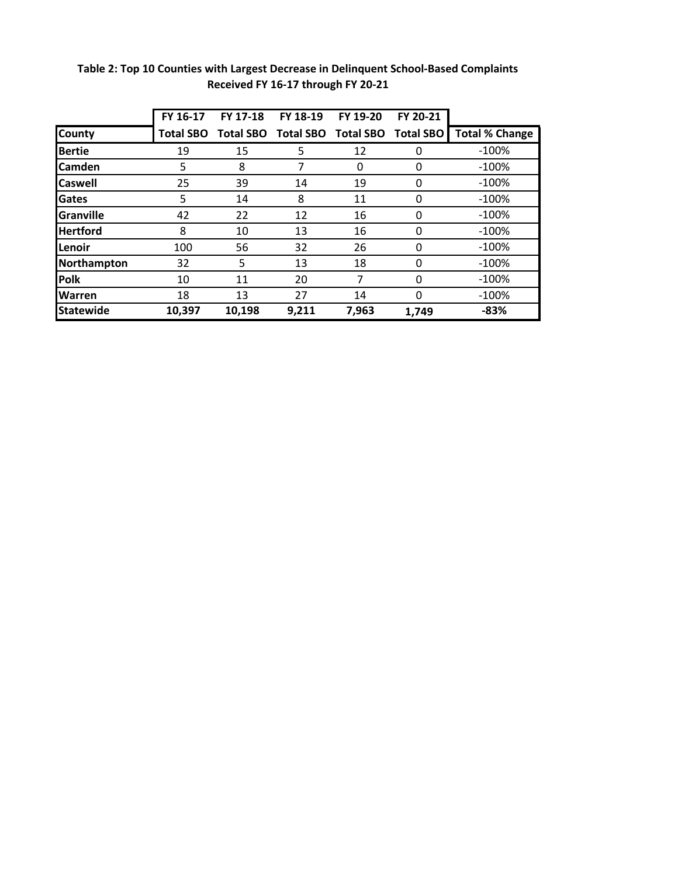|                  | FY 16-17         | FY 17-18         | FY 18-19         | FY 19-20         | FY 20-21         |                       |
|------------------|------------------|------------------|------------------|------------------|------------------|-----------------------|
| <b>County</b>    | <b>Total SBO</b> | <b>Total SBO</b> | <b>Total SBO</b> | <b>Total SBO</b> | <b>Total SBO</b> | <b>Total % Change</b> |
| <b>Bertie</b>    | 19               | 15               | 5                | 12               | 0                | $-100%$               |
| <b>Camden</b>    | 5                | 8                | 7                | 0                | 0                | $-100\%$              |
| <b>Caswell</b>   | 25               | 39               | 14               | 19               | 0                | $-100%$               |
| Gates            | 5                | 14               | 8                | 11               | 0                | $-100%$               |
| <b>Granville</b> | 42               | 22               | 12               | 16               | $\mathbf{0}$     | $-100\%$              |
| <b>Hertford</b>  | 8                | 10               | 13               | 16               | 0                | $-100\%$              |
| Lenoir           | 100              | 56               | 32               | 26               | $\mathbf{0}$     | $-100%$               |
| Northampton      | 32               | 5                | 13               | 18               | $\mathbf{0}$     | $-100%$               |
| Polk             | 10               | 11               | 20               | 7                | 0                | $-100\%$              |
| <b>Warren</b>    | 18               | 13               | 27               | 14               | 0                | $-100%$               |
| Statewide        | 10,397           | 10,198           | 9.211            | 7,963            | 1,749            | $-83%$                |

**Table 2: Top 10 Counties with Largest Decrease in Delinquent School-Based Complaints Received FY 16-17 through FY 20-21**